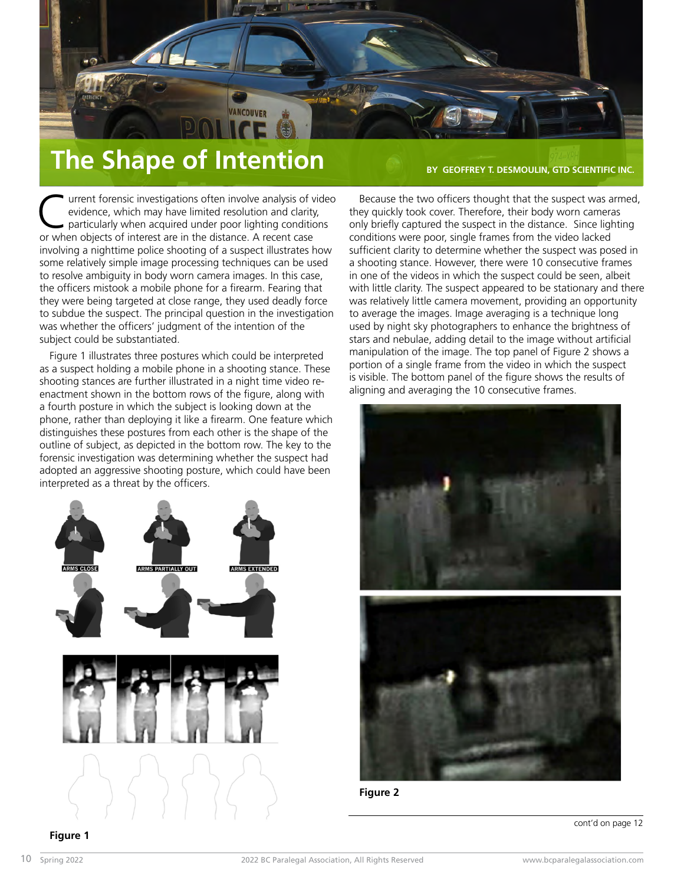

## **The Shape of Intention BY GEOFFREY T. DESMOULIN, GTD SCIENTIFIC INC.**

Because the two officers thought that the suspect was armed, they quickly took cover. Therefore, their body worn cameras

urrent forensic investigations often involve analysis of video evidence, which may have limited resolution and clarity, particularly when acquired under poor lighting conditions or when objects of interest are in the distance. A recent case involving a nighttime police shooting of a suspect illustrates how some relatively simple image processing techniques can be used to resolve ambiguity in body worn camera images. In this case, the officers mistook a mobile phone for a firearm. Fearing that they were being targeted at close range, they used deadly force to subdue the suspect. The principal question in the investigation was whether the officers' judgment of the intention of the subject could be substantiated.

Figure 1 illustrates three postures which could be interpreted as a suspect holding a mobile phone in a shooting stance. These shooting stances are further illustrated in a night time video reenactment shown in the bottom rows of the figure, along with a fourth posture in which the subject is looking down at the phone, rather than deploying it like a firearm. One feature which distinguishes these postures from each other is the shape of the outline of subject, as depicted in the bottom row. The key to the forensic investigation was determining whether the suspect had adopted an aggressive shooting posture, which could have been interpreted as a threat by the officers.



only briefly captured the suspect in the distance. Since lighting conditions were poor, single frames from the video lacked sufficient clarity to determine whether the suspect was posed in a shooting stance. However, there were 10 consecutive frames in one of the videos in which the suspect could be seen, albeit with little clarity. The suspect appeared to be stationary and there was relatively little camera movement, providing an opportunity to average the images. Image averaging is a technique long used by night sky photographers to enhance the brightness of stars and nebulae, adding detail to the image without artificial manipulation of the image. The top panel of Figure 2 shows a portion of a single frame from the video in which the suspect is visible. The bottom panel of the figure shows the results of aligning and averaging the 10 consecutive frames.



**Figure 2**